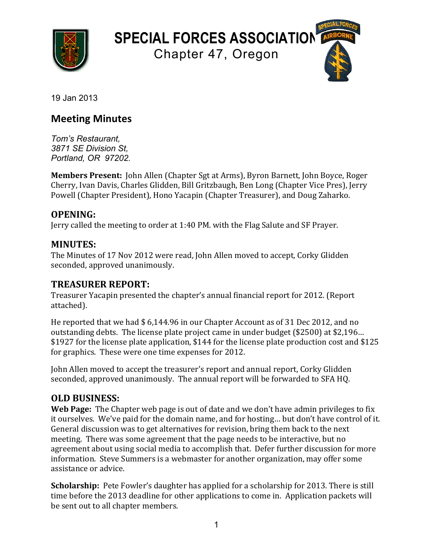

**SPECIAL FORCES ASSOCIATION**

Chapter 47, Oregon

19 Jan 2013

### **Meeting Minutes**

*Tom's Restaurant, 3871 SE Division St, Portland, OR 97202.*

**Members Present:** John Allen (Chapter Sgt at Arms), Byron Barnett, John Boyce, Roger Cherry, Ivan Davis, Charles Glidden, Bill Gritzbaugh, Ben Long (Chapter Vice Pres), Jerry Powell (Chapter President), Hono Yacapin (Chapter Treasurer), and Doug Zaharko.

### **OPENING:**

Jerry called the meeting to order at 1:40 PM. with the Flag Salute and SF Prayer.

### **MINUTES:**

The Minutes of 17 Nov 2012 were read, John Allen moved to accept, Corky Glidden seconded, approved unanimously.

### **TREASURER REPORT:**

Treasurer Yacapin presented the chapter's annual financial report for 2012. (Report attached).

He reported that we had  $$6,144.96$  in our Chapter Account as of 31 Dec 2012, and no outstanding debts. The license plate project came in under budget (\$2500) at \$2.196… \$1927 for the license plate application, \$144 for the license plate production cost and \$125 for graphics. These were one time expenses for 2012.

John Allen moved to accept the treasurer's report and annual report, Corky Glidden seconded, approved unanimously. The annual report will be forwarded to SFA HQ.

### **OLD BUSINESS:**

**Web Page:** The Chapter web page is out of date and we don't have admin privileges to fix it ourselves. We've paid for the domain name, and for hosting... but don't have control of it. General discussion was to get alternatives for revision, bring them back to the next meeting. There was some agreement that the page needs to be interactive, but no agreement about using social media to accomplish that. Defer further discussion for more information. Steve Summers is a webmaster for another organization, may offer some assistance or advice.

**Scholarship:** Pete Fowler's daughter has applied for a scholarship for 2013. There is still time before the 2013 deadline for other applications to come in. Application packets will be sent out to all chapter members.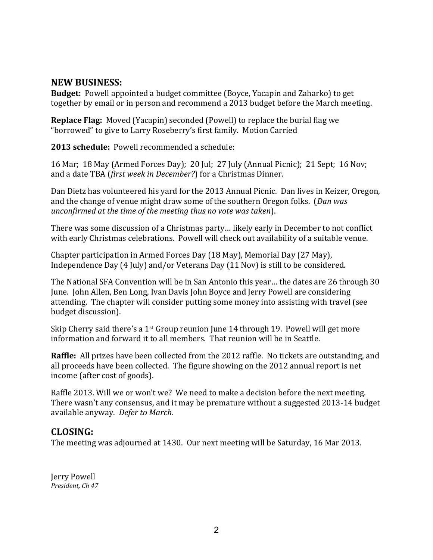### **NEW BUSINESS:**

**Budget:** Powell appointed a budget committee (Boyce, Yacapin and Zaharko) to get together by email or in person and recommend a 2013 budget before the March meeting.

**Replace Flag:** Moved (Yacapin) seconded (Powell) to replace the burial flag we "borrowed" to give to Larry Roseberry's first family. Motion Carried

**2013 schedule:** Powell recommended a schedule:

16 Mar; 18 May (Armed Forces Day); 20 Jul; 27 July (Annual Picnic); 21 Sept; 16 Nov; and a date TBA (*first week in December?*) for a Christmas Dinner.

Dan Dietz has volunteered his vard for the 2013 Annual Picnic. Dan lives in Keizer, Oregon, and the change of venue might draw some of the southern Oregon folks. (*Dan was unconfirmed at the time of the meeting thus no vote was taken*).

There was some discussion of a Christmas party... likely early in December to not conflict with early Christmas celebrations. Powell will check out availability of a suitable venue.

Chapter participation in Armed Forces Day (18 May), Memorial Day (27 May), Independence Day  $(4 \text{ July})$  and/or Veterans Day  $(11 \text{ Nov})$  is still to be considered.

The National SFA Convention will be in San Antonio this year... the dates are 26 through 30 June. John Allen, Ben Long, Ivan Davis John Boyce and Jerry Powell are considering attending. The chapter will consider putting some money into assisting with travel (see budget discussion).

Skip Cherry said there's a  $1^{st}$  Group reunion June 14 through 19. Powell will get more information and forward it to all members. That reunion will be in Seattle.

**Raffle:** All prizes have been collected from the 2012 raffle. No tickets are outstanding, and all proceeds have been collected. The figure showing on the 2012 annual report is net income (after cost of goods).

Raffle 2013. Will we or won't we? We need to make a decision before the next meeting. There wasn't any consensus, and it may be premature without a suggested 2013-14 budget available anyway. Defer to March.

### **CLOSING:**

The meeting was adjourned at 1430. Our next meeting will be Saturday, 16 Mar 2013.

Jerry Powell *President, Ch 47*